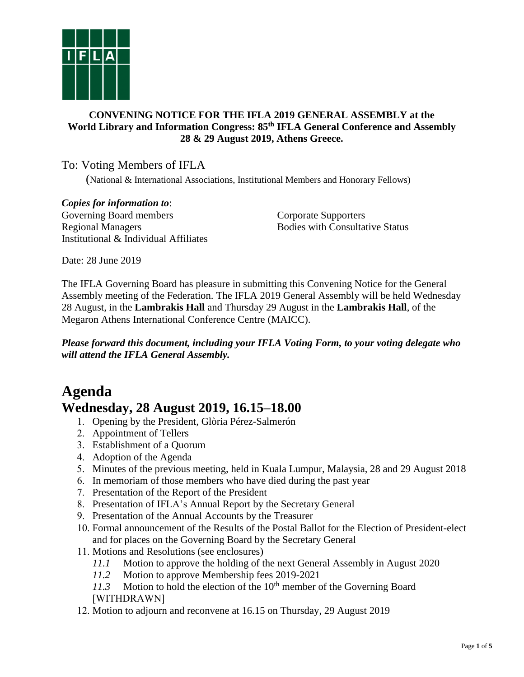

## **CONVENING NOTICE FOR THE IFLA 2019 GENERAL ASSEMBLY at the World Library and Information Congress: 85 th IFLA General Conference and Assembly 28 & 29 August 2019, Athens Greece.**

# To: Voting Members of IFLA

(National & International Associations, Institutional Members and Honorary Fellows)

*Copies for information to*: Governing Board members Regional Managers Institutional & Individual Affiliates

Corporate Supporters Bodies with Consultative Status

Date: 28 June 2019

The IFLA Governing Board has pleasure in submitting this Convening Notice for the General Assembly meeting of the Federation. The IFLA 2019 General Assembly will be held Wednesday 28 August, in the **Lambrakis Hall** and Thursday 29 August in the **Lambrakis Hall**, of the Megaron Athens International Conference Centre (MAICC).

*Please forward this document, including your IFLA Voting Form, to your voting delegate who will attend the IFLA General Assembly.*

# **Agenda Wednesday, 28 August 2019, 16.15–18.00**

- 1. Opening by the President, Glòria Pérez-Salmerón
- 2. Appointment of Tellers
- 3. Establishment of a Quorum
- 4. Adoption of the Agenda
- 5. Minutes of the previous meeting, held in Kuala Lumpur, Malaysia, 28 and 29 August 2018
- 6. In memoriam of those members who have died during the past year
- 7. Presentation of the Report of the President
- 8. Presentation of IFLA's Annual Report by the Secretary General
- 9. Presentation of the Annual Accounts by the Treasurer
- 10. Formal announcement of the Results of the Postal Ballot for the Election of President-elect and for places on the Governing Board by the Secretary General
- 11. Motions and Resolutions (see enclosures)
	- *11.1* Motion to approve the holding of the next General Assembly in August 2020
	- *11.2* Motion to approve Membership fees 2019-2021
	- 11.3 Motion to hold the election of the 10<sup>th</sup> member of the Governing Board [WITHDRAWN]
- 12. Motion to adjourn and reconvene at 16.15 on Thursday, 29 August 2019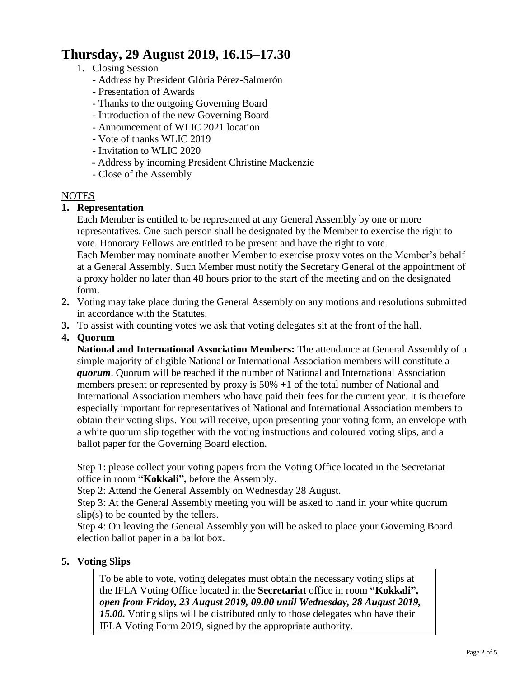# **Thursday, 29 August 2019, 16.15–17.30**

## 1. Closing Session

- Address by President Glòria Pérez-Salmerón
- Presentation of Awards
- Thanks to the outgoing Governing Board
- Introduction of the new Governing Board
- Announcement of WLIC 2021 location
- Vote of thanks WLIC 2019
- Invitation to WLIC 2020
- Address by incoming President Christine Mackenzie
- Close of the Assembly

## NOTES

## **1. Representation**

Each Member is entitled to be represented at any General Assembly by one or more representatives. One such person shall be designated by the Member to exercise the right to vote. Honorary Fellows are entitled to be present and have the right to vote. Each Member may nominate another Member to exercise proxy votes on the Member's behalf at a General Assembly. Such Member must notify the Secretary General of the appointment of a proxy holder no later than 48 hours prior to the start of the meeting and on the designated form.

- **2.** Voting may take place during the General Assembly on any motions and resolutions submitted in accordance with the Statutes.
- **3.** To assist with counting votes we ask that voting delegates sit at the front of the hall.
- **4. Quorum**

**National and International Association Members:** The attendance at General Assembly of a simple majority of eligible National or International Association members will constitute a *quorum*. Quorum will be reached if the number of National and International Association members present or represented by proxy is 50% +1 of the total number of National and International Association members who have paid their fees for the current year. It is therefore especially important for representatives of National and International Association members to obtain their voting slips. You will receive, upon presenting your voting form, an envelope with a white quorum slip together with the voting instructions and coloured voting slips, and a ballot paper for the Governing Board election.

Step 1: please collect your voting papers from the Voting Office located in the Secretariat office in room **"Kokkali",** before the Assembly.

Step 2: Attend the General Assembly on Wednesday 28 August.

Step 3: At the General Assembly meeting you will be asked to hand in your white quorum  $slip(s)$  to be counted by the tellers.

Step 4: On leaving the General Assembly you will be asked to place your Governing Board election ballot paper in a ballot box.

## **5. Voting Slips**

To be able to vote, voting delegates must obtain the necessary voting slips at the IFLA Voting Office located in the **Secretariat** office in room **"Kokkali",** *open from Friday, 23 August 2019, 09.00 until Wednesday, 28 August 2019, 15.00.* Voting slips will be distributed only to those delegates who have their IFLA Voting Form 2019, signed by the appropriate authority.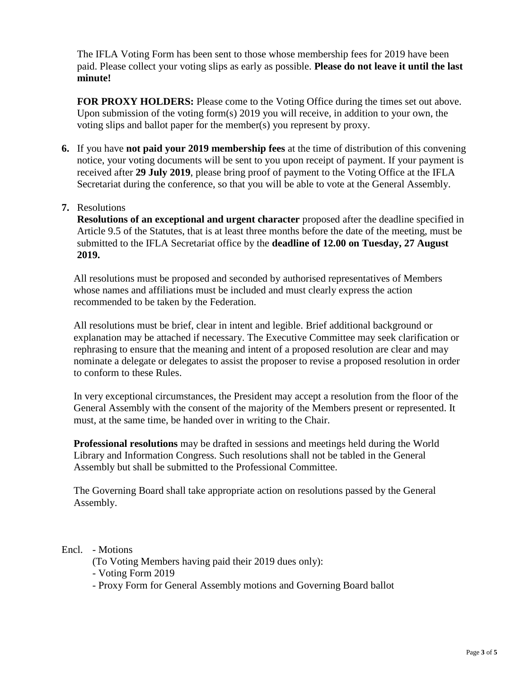The IFLA Voting Form has been sent to those whose membership fees for 2019 have been paid. Please collect your voting slips as early as possible. **Please do not leave it until the last minute!** 

**FOR PROXY HOLDERS:** Please come to the Voting Office during the times set out above. Upon submission of the voting form(s) 2019 you will receive, in addition to your own, the voting slips and ballot paper for the member(s) you represent by proxy.

**6.** If you have **not paid your 2019 membership fees** at the time of distribution of this convening notice, your voting documents will be sent to you upon receipt of payment. If your payment is received after **29 July 2019**, please bring proof of payment to the Voting Office at the IFLA Secretariat during the conference, so that you will be able to vote at the General Assembly.

## **7.** Resolutions

**Resolutions of an exceptional and urgent character** proposed after the deadline specified in Article 9.5 of the Statutes, that is at least three months before the date of the meeting, must be submitted to the IFLA Secretariat office by the **deadline of 12.00 on Tuesday, 27 August 2019.**

All resolutions must be proposed and seconded by authorised representatives of Members whose names and affiliations must be included and must clearly express the action recommended to be taken by the Federation.

All resolutions must be brief, clear in intent and legible. Brief additional background or explanation may be attached if necessary. The Executive Committee may seek clarification or rephrasing to ensure that the meaning and intent of a proposed resolution are clear and may nominate a delegate or delegates to assist the proposer to revise a proposed resolution in order to conform to these Rules.

In very exceptional circumstances, the President may accept a resolution from the floor of the General Assembly with the consent of the majority of the Members present or represented. It must, at the same time, be handed over in writing to the Chair.

**Professional resolutions** may be drafted in sessions and meetings held during the World Library and Information Congress. Such resolutions shall not be tabled in the General Assembly but shall be submitted to the Professional Committee.

The Governing Board shall take appropriate action on resolutions passed by the General Assembly.

## Encl. - Motions

- (To Voting Members having paid their 2019 dues only):
- Voting Form 2019
- Proxy Form for General Assembly motions and Governing Board ballot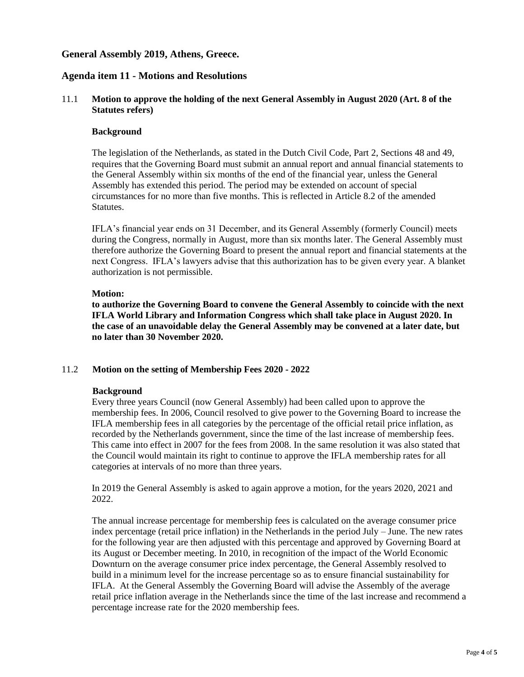### **General Assembly 2019, Athens, Greece.**

### **Agenda item 11 - Motions and Resolutions**

#### 11.1 **Motion to approve the holding of the next General Assembly in August 2020 (Art. 8 of the Statutes refers)**

#### **Background**

The legislation of the Netherlands, as stated in the Dutch Civil Code, Part 2, Sections 48 and 49, requires that the Governing Board must submit an annual report and annual financial statements to the General Assembly within six months of the end of the financial year, unless the General Assembly has extended this period. The period may be extended on account of special circumstances for no more than five months. This is reflected in Article 8.2 of the amended Statutes.

IFLA's financial year ends on 31 December, and its General Assembly (formerly Council) meets during the Congress, normally in August, more than six months later. The General Assembly must therefore authorize the Governing Board to present the annual report and financial statements at the next Congress. IFLA's lawyers advise that this authorization has to be given every year. A blanket authorization is not permissible.

#### **Motion:**

**to authorize the Governing Board to convene the General Assembly to coincide with the next IFLA World Library and Information Congress which shall take place in August 2020. In the case of an unavoidable delay the General Assembly may be convened at a later date, but no later than 30 November 2020.**

#### 11.2 **Motion on the setting of Membership Fees 2020 - 2022**

#### **Background**

Every three years Council (now General Assembly) had been called upon to approve the membership fees. In 2006, Council resolved to give power to the Governing Board to increase the IFLA membership fees in all categories by the percentage of the official retail price inflation, as recorded by the Netherlands government, since the time of the last increase of membership fees. This came into effect in 2007 for the fees from 2008. In the same resolution it was also stated that the Council would maintain its right to continue to approve the IFLA membership rates for all categories at intervals of no more than three years.

In 2019 the General Assembly is asked to again approve a motion, for the years 2020, 2021 and 2022.

The annual increase percentage for membership fees is calculated on the average consumer price index percentage (retail price inflation) in the Netherlands in the period July – June. The new rates for the following year are then adjusted with this percentage and approved by Governing Board at its August or December meeting. In 2010, in recognition of the impact of the World Economic Downturn on the average consumer price index percentage, the General Assembly resolved to build in a minimum level for the increase percentage so as to ensure financial sustainability for IFLA. At the General Assembly the Governing Board will advise the Assembly of the average retail price inflation average in the Netherlands since the time of the last increase and recommend a percentage increase rate for the 2020 membership fees.